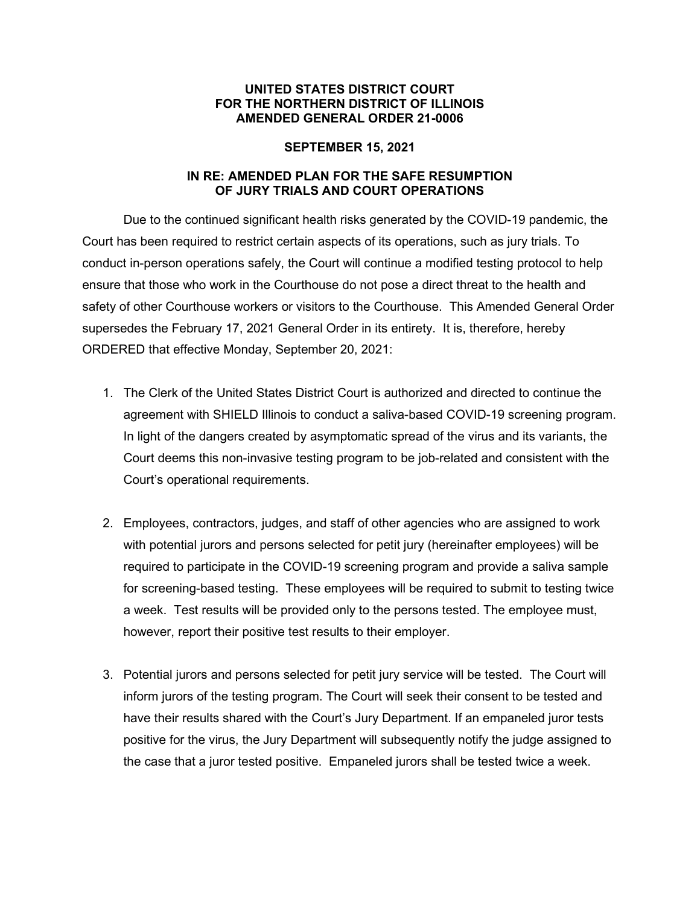## **UNITED STATES DISTRICT COURT FOR THE NORTHERN DISTRICT OF ILLINOIS AMENDED GENERAL ORDER 21-0006**

## **SEPTEMBER 15, 2021**

## **IN RE: AMENDED PLAN FOR THE SAFE RESUMPTION OF JURY TRIALS AND COURT OPERATIONS**

Due to the continued significant health risks generated by the COVID-19 pandemic, the Court has been required to restrict certain aspects of its operations, such as jury trials. To conduct in-person operations safely, the Court will continue a modified testing protocol to help ensure that those who work in the Courthouse do not pose a direct threat to the health and safety of other Courthouse workers or visitors to the Courthouse. This Amended General Order supersedes the February 17, 2021 General Order in its entirety. It is, therefore, hereby ORDERED that effective Monday, September 20, 2021:

- 1. The Clerk of the United States District Court is authorized and directed to continue the agreement with SHIELD Illinois to conduct a saliva-based COVID-19 screening program. In light of the dangers created by asymptomatic spread of the virus and its variants, the Court deems this non-invasive testing program to be job-related and consistent with the Court's operational requirements.
- 2. Employees, contractors, judges, and staff of other agencies who are assigned to work with potential jurors and persons selected for petit jury (hereinafter employees) will be required to participate in the COVID-19 screening program and provide a saliva sample for screening-based testing. These employees will be required to submit to testing twice a week. Test results will be provided only to the persons tested. The employee must, however, report their positive test results to their employer.
- 3. Potential jurors and persons selected for petit jury service will be tested. The Court will inform jurors of the testing program. The Court will seek their consent to be tested and have their results shared with the Court's Jury Department. If an empaneled juror tests positive for the virus, the Jury Department will subsequently notify the judge assigned to the case that a juror tested positive. Empaneled jurors shall be tested twice a week.